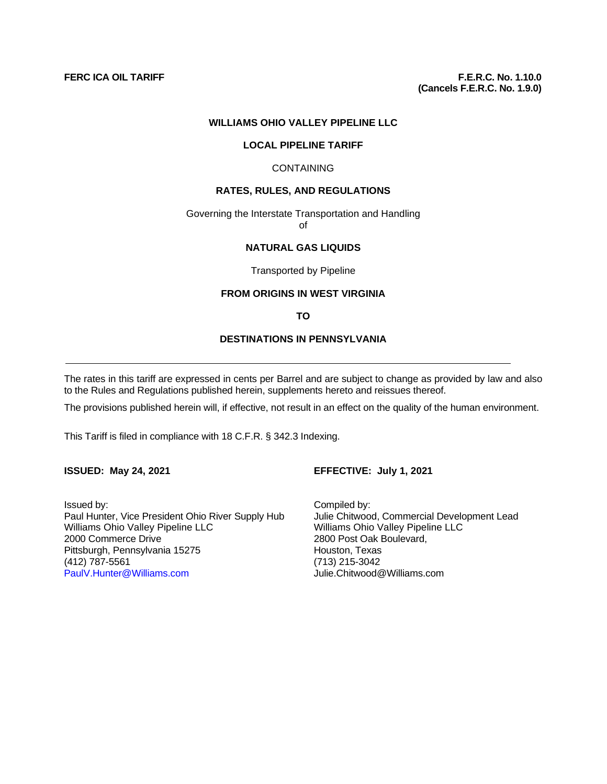#### **WILLIAMS OHIO VALLEY PIPELINE LLC**

#### **LOCAL PIPELINE TARIFF**

#### **CONTAINING**

#### **RATES, RULES, AND REGULATIONS**

Governing the Interstate Transportation and Handling of

# **NATURAL GAS LIQUIDS**

Transported by Pipeline

#### **FROM ORIGINS IN WEST VIRGINIA**

**TO** 

# **DESTINATIONS IN PENNSYLVANIA**

The rates in this tariff are expressed in cents per Barrel and are subject to change as provided by law and also to the Rules and Regulations published herein, supplements hereto and reissues thereof.

The provisions published herein will, if effective, not result in an effect on the quality of the human environment.

This Tariff is filed in compliance with 18 C.F.R. § 342.3 Indexing.

#### **ISSUED: May 24, 2021 EFFECTIVE: July 1, 2021**

Issued by: Compiled by: Paul Hunter, Vice President Ohio River Supply Hub Julie Chitwood, Commercial Development Lead<br>
Williams Ohio Valley Pipeline LLC<br>
Williams Ohio Valley Pipeline LLC Williams Ohio Valley Pipeline LLC<br>
2000 Commerce Drive<br>
2000 Commerce Drive<br>
2000 Post Oak Boulevard, Pittsburgh, Pennsylvania 15275<br>(412) 787-5561 (412) 787-5561 (713) 215-3042

2800 Post Oak Boulevard,<br>Houston, Texas Julie.Chitwood@Williams.com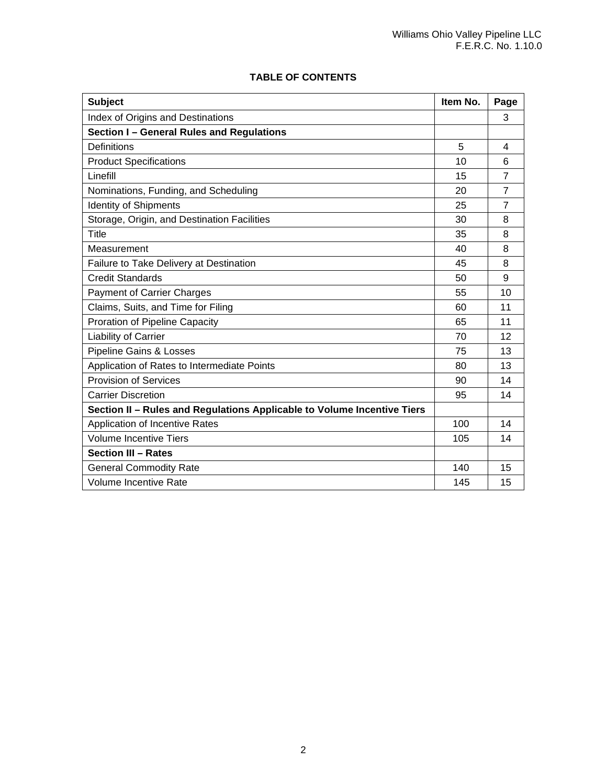|  | <b>TABLE OF CONTENTS</b> |
|--|--------------------------|
|  |                          |

| <b>Subject</b>                                                          | Item No. | Page           |
|-------------------------------------------------------------------------|----------|----------------|
| Index of Origins and Destinations                                       |          | 3              |
| Section I - General Rules and Regulations                               |          |                |
| Definitions                                                             | 5        | 4              |
| <b>Product Specifications</b>                                           | 10       | 6              |
| Linefill                                                                | 15       | $\overline{7}$ |
| Nominations, Funding, and Scheduling                                    | 20       | $\overline{7}$ |
| <b>Identity of Shipments</b>                                            | 25       | 7              |
| Storage, Origin, and Destination Facilities                             | 30       | 8              |
| Title                                                                   | 35       | 8              |
| Measurement                                                             | 40       | 8              |
| Failure to Take Delivery at Destination                                 | 45       | 8              |
| <b>Credit Standards</b>                                                 | 50       | 9              |
| <b>Payment of Carrier Charges</b>                                       | 55       | 10             |
| Claims, Suits, and Time for Filing                                      | 60       | 11             |
| Proration of Pipeline Capacity                                          | 65       | 11             |
| Liability of Carrier                                                    | 70       | 12             |
| Pipeline Gains & Losses                                                 | 75       | 13             |
| Application of Rates to Intermediate Points                             | 80       | 13             |
| <b>Provision of Services</b>                                            | 90       | 14             |
| <b>Carrier Discretion</b>                                               | 95       | 14             |
| Section II - Rules and Regulations Applicable to Volume Incentive Tiers |          |                |
| Application of Incentive Rates                                          | 100      | 14             |
| <b>Volume Incentive Tiers</b>                                           | 105      | 14             |
| <b>Section III - Rates</b>                                              |          |                |
| <b>General Commodity Rate</b>                                           | 140      | 15             |
| <b>Volume Incentive Rate</b>                                            | 145      | 15             |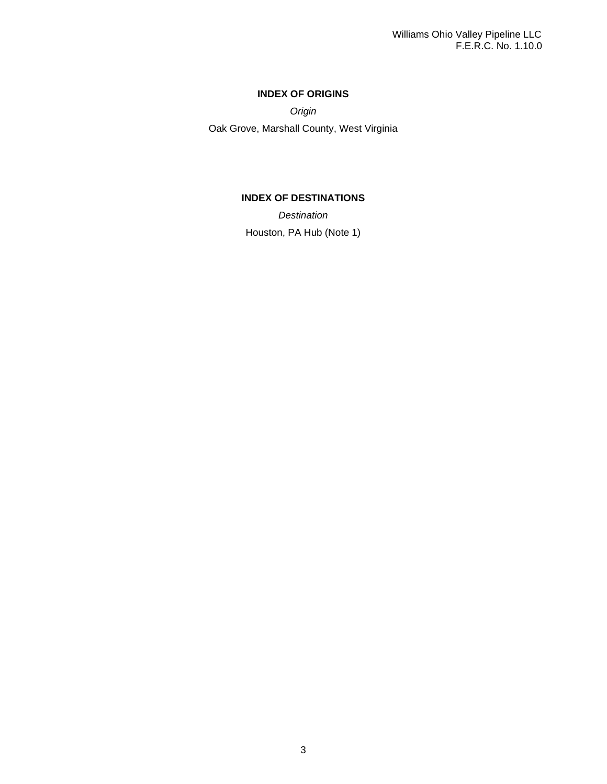# **INDEX OF ORIGINS**

*Origin*

Oak Grove, Marshall County, West Virginia

# **INDEX OF DESTINATIONS**

*Destination* Houston, PA Hub (Note 1)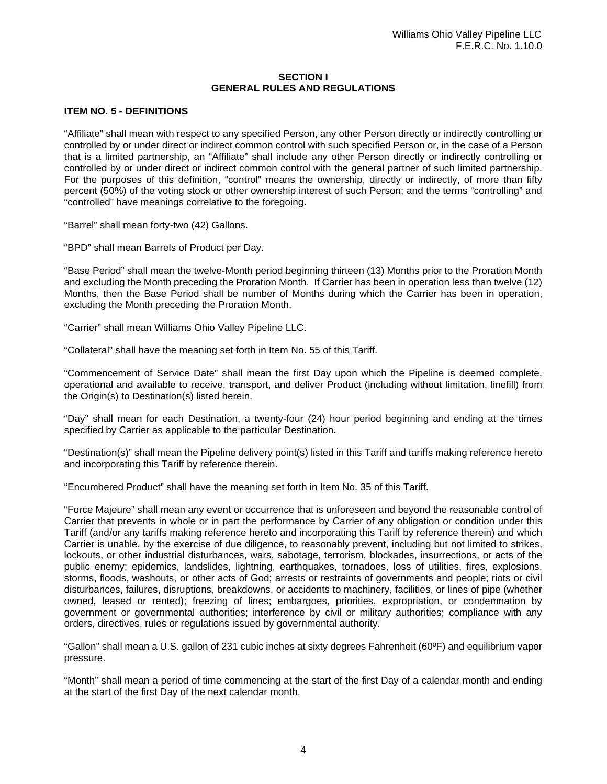#### **SECTION I GENERAL RULES AND REGULATIONS**

### **ITEM NO. 5 - DEFINITIONS**

"Affiliate" shall mean with respect to any specified Person, any other Person directly or indirectly controlling or controlled by or under direct or indirect common control with such specified Person or, in the case of a Person that is a limited partnership, an "Affiliate" shall include any other Person directly or indirectly controlling or controlled by or under direct or indirect common control with the general partner of such limited partnership. For the purposes of this definition, "control" means the ownership, directly or indirectly, of more than fifty percent (50%) of the voting stock or other ownership interest of such Person; and the terms "controlling" and "controlled" have meanings correlative to the foregoing.

"Barrel" shall mean forty-two (42) Gallons.

"BPD" shall mean Barrels of Product per Day.

"Base Period" shall mean the twelve-Month period beginning thirteen (13) Months prior to the Proration Month and excluding the Month preceding the Proration Month. If Carrier has been in operation less than twelve (12) Months, then the Base Period shall be number of Months during which the Carrier has been in operation, excluding the Month preceding the Proration Month.

"Carrier" shall mean Williams Ohio Valley Pipeline LLC.

"Collateral" shall have the meaning set forth in Item No. 55 of this Tariff.

"Commencement of Service Date" shall mean the first Day upon which the Pipeline is deemed complete, operational and available to receive, transport, and deliver Product (including without limitation, linefill) from the Origin(s) to Destination(s) listed herein.

"Day" shall mean for each Destination, a twenty-four (24) hour period beginning and ending at the times specified by Carrier as applicable to the particular Destination.

"Destination(s)" shall mean the Pipeline delivery point(s) listed in this Tariff and tariffs making reference hereto and incorporating this Tariff by reference therein.

"Encumbered Product" shall have the meaning set forth in Item No. 35 of this Tariff.

"Force Majeure" shall mean any event or occurrence that is unforeseen and beyond the reasonable control of Carrier that prevents in whole or in part the performance by Carrier of any obligation or condition under this Tariff (and/or any tariffs making reference hereto and incorporating this Tariff by reference therein) and which Carrier is unable, by the exercise of due diligence, to reasonably prevent, including but not limited to strikes, lockouts, or other industrial disturbances, wars, sabotage, terrorism, blockades, insurrections, or acts of the public enemy; epidemics, landslides, lightning, earthquakes, tornadoes, loss of utilities, fires, explosions, storms, floods, washouts, or other acts of God; arrests or restraints of governments and people; riots or civil disturbances, failures, disruptions, breakdowns, or accidents to machinery, facilities, or lines of pipe (whether owned, leased or rented); freezing of lines; embargoes, priorities, expropriation, or condemnation by government or governmental authorities; interference by civil or military authorities; compliance with any orders, directives, rules or regulations issued by governmental authority.

"Gallon" shall mean a U.S. gallon of 231 cubic inches at sixty degrees Fahrenheit (60ºF) and equilibrium vapor pressure.

"Month" shall mean a period of time commencing at the start of the first Day of a calendar month and ending at the start of the first Day of the next calendar month.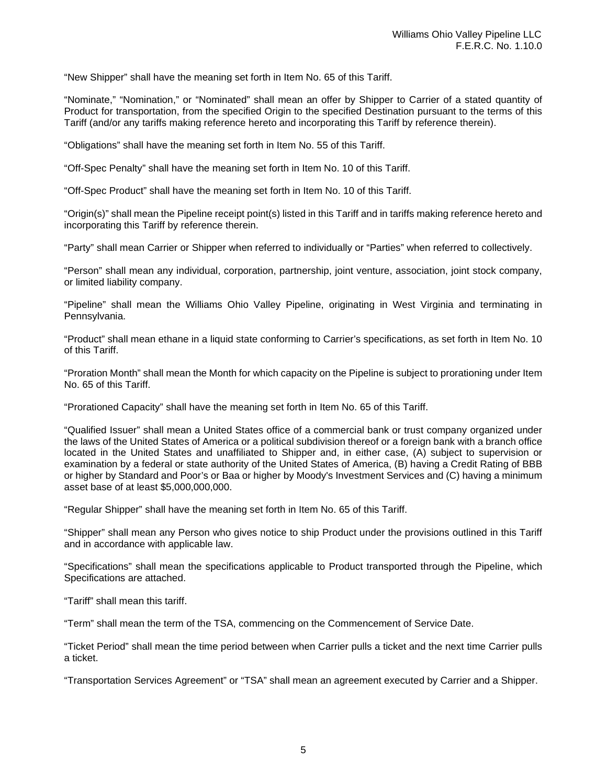"New Shipper" shall have the meaning set forth in Item No. 65 of this Tariff.

"Nominate," "Nomination," or "Nominated" shall mean an offer by Shipper to Carrier of a stated quantity of Product for transportation, from the specified Origin to the specified Destination pursuant to the terms of this Tariff (and/or any tariffs making reference hereto and incorporating this Tariff by reference therein).

"Obligations" shall have the meaning set forth in Item No. 55 of this Tariff.

"Off-Spec Penalty" shall have the meaning set forth in Item No. 10 of this Tariff.

"Off-Spec Product" shall have the meaning set forth in Item No. 10 of this Tariff.

"Origin(s)" shall mean the Pipeline receipt point(s) listed in this Tariff and in tariffs making reference hereto and incorporating this Tariff by reference therein.

"Party" shall mean Carrier or Shipper when referred to individually or "Parties" when referred to collectively.

"Person" shall mean any individual, corporation, partnership, joint venture, association, joint stock company, or limited liability company.

"Pipeline" shall mean the Williams Ohio Valley Pipeline, originating in West Virginia and terminating in Pennsylvania.

"Product" shall mean ethane in a liquid state conforming to Carrier's specifications, as set forth in Item No. 10 of this Tariff.

"Proration Month" shall mean the Month for which capacity on the Pipeline is subject to prorationing under Item No. 65 of this Tariff.

"Prorationed Capacity" shall have the meaning set forth in Item No. 65 of this Tariff.

"Qualified Issuer" shall mean a United States office of a commercial bank or trust company organized under the laws of the United States of America or a political subdivision thereof or a foreign bank with a branch office located in the United States and unaffiliated to Shipper and, in either case, (A) subject to supervision or examination by a federal or state authority of the United States of America, (B) having a Credit Rating of BBB or higher by Standard and Poor's or Baa or higher by Moody's Investment Services and (C) having a minimum asset base of at least \$5,000,000,000.

"Regular Shipper" shall have the meaning set forth in Item No. 65 of this Tariff.

"Shipper" shall mean any Person who gives notice to ship Product under the provisions outlined in this Tariff and in accordance with applicable law.

"Specifications" shall mean the specifications applicable to Product transported through the Pipeline, which Specifications are attached.

"Tariff" shall mean this tariff.

"Term" shall mean the term of the TSA, commencing on the Commencement of Service Date.

"Ticket Period" shall mean the time period between when Carrier pulls a ticket and the next time Carrier pulls a ticket.

"Transportation Services Agreement" or "TSA" shall mean an agreement executed by Carrier and a Shipper.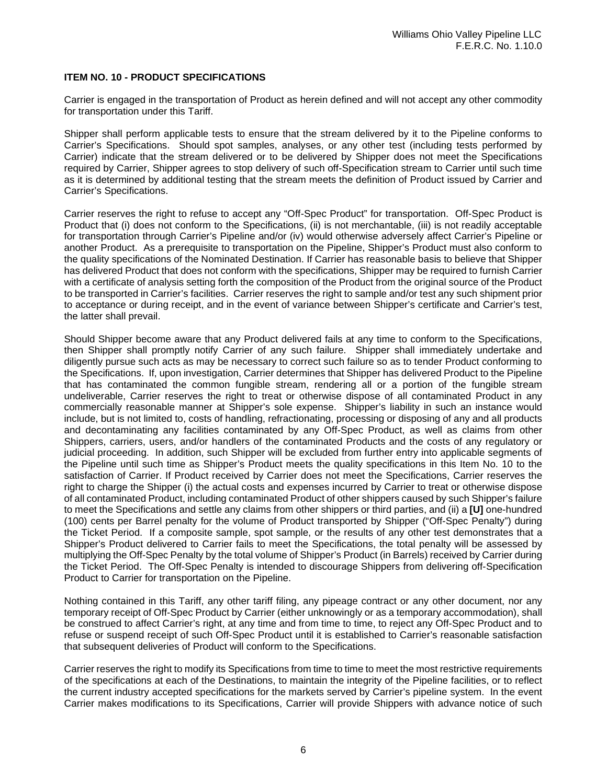# **ITEM NO. 10 - PRODUCT SPECIFICATIONS**

Carrier is engaged in the transportation of Product as herein defined and will not accept any other commodity for transportation under this Tariff.

Shipper shall perform applicable tests to ensure that the stream delivered by it to the Pipeline conforms to Carrier's Specifications. Should spot samples, analyses, or any other test (including tests performed by Carrier) indicate that the stream delivered or to be delivered by Shipper does not meet the Specifications required by Carrier, Shipper agrees to stop delivery of such off-Specification stream to Carrier until such time as it is determined by additional testing that the stream meets the definition of Product issued by Carrier and Carrier's Specifications.

Carrier reserves the right to refuse to accept any "Off-Spec Product" for transportation. Off-Spec Product is Product that (i) does not conform to the Specifications, (ii) is not merchantable, (iii) is not readily acceptable for transportation through Carrier's Pipeline and/or (iv) would otherwise adversely affect Carrier's Pipeline or another Product. As a prerequisite to transportation on the Pipeline, Shipper's Product must also conform to the quality specifications of the Nominated Destination. If Carrier has reasonable basis to believe that Shipper has delivered Product that does not conform with the specifications, Shipper may be required to furnish Carrier with a certificate of analysis setting forth the composition of the Product from the original source of the Product to be transported in Carrier's facilities. Carrier reserves the right to sample and/or test any such shipment prior to acceptance or during receipt, and in the event of variance between Shipper's certificate and Carrier's test, the latter shall prevail.

Should Shipper become aware that any Product delivered fails at any time to conform to the Specifications, then Shipper shall promptly notify Carrier of any such failure. Shipper shall immediately undertake and diligently pursue such acts as may be necessary to correct such failure so as to tender Product conforming to the Specifications. If, upon investigation, Carrier determines that Shipper has delivered Product to the Pipeline that has contaminated the common fungible stream, rendering all or a portion of the fungible stream undeliverable, Carrier reserves the right to treat or otherwise dispose of all contaminated Product in any commercially reasonable manner at Shipper's sole expense. Shipper's liability in such an instance would include, but is not limited to, costs of handling, refractionating, processing or disposing of any and all products and decontaminating any facilities contaminated by any Off-Spec Product, as well as claims from other Shippers, carriers, users, and/or handlers of the contaminated Products and the costs of any regulatory or judicial proceeding. In addition, such Shipper will be excluded from further entry into applicable segments of the Pipeline until such time as Shipper's Product meets the quality specifications in this Item No. 10 to the satisfaction of Carrier. If Product received by Carrier does not meet the Specifications, Carrier reserves the right to charge the Shipper (i) the actual costs and expenses incurred by Carrier to treat or otherwise dispose of all contaminated Product, including contaminated Product of other shippers caused by such Shipper's failure to meet the Specifications and settle any claims from other shippers or third parties, and (ii) a **[U]** one-hundred (100) cents per Barrel penalty for the volume of Product transported by Shipper ("Off-Spec Penalty") during the Ticket Period. If a composite sample, spot sample, or the results of any other test demonstrates that a Shipper's Product delivered to Carrier fails to meet the Specifications, the total penalty will be assessed by multiplying the Off-Spec Penalty by the total volume of Shipper's Product (in Barrels) received by Carrier during the Ticket Period. The Off-Spec Penalty is intended to discourage Shippers from delivering off-Specification Product to Carrier for transportation on the Pipeline.

Nothing contained in this Tariff, any other tariff filing, any pipeage contract or any other document, nor any temporary receipt of Off-Spec Product by Carrier (either unknowingly or as a temporary accommodation), shall be construed to affect Carrier's right, at any time and from time to time, to reject any Off-Spec Product and to refuse or suspend receipt of such Off-Spec Product until it is established to Carrier's reasonable satisfaction that subsequent deliveries of Product will conform to the Specifications.

Carrier reserves the right to modify its Specifications from time to time to meet the most restrictive requirements of the specifications at each of the Destinations, to maintain the integrity of the Pipeline facilities, or to reflect the current industry accepted specifications for the markets served by Carrier's pipeline system. In the event Carrier makes modifications to its Specifications, Carrier will provide Shippers with advance notice of such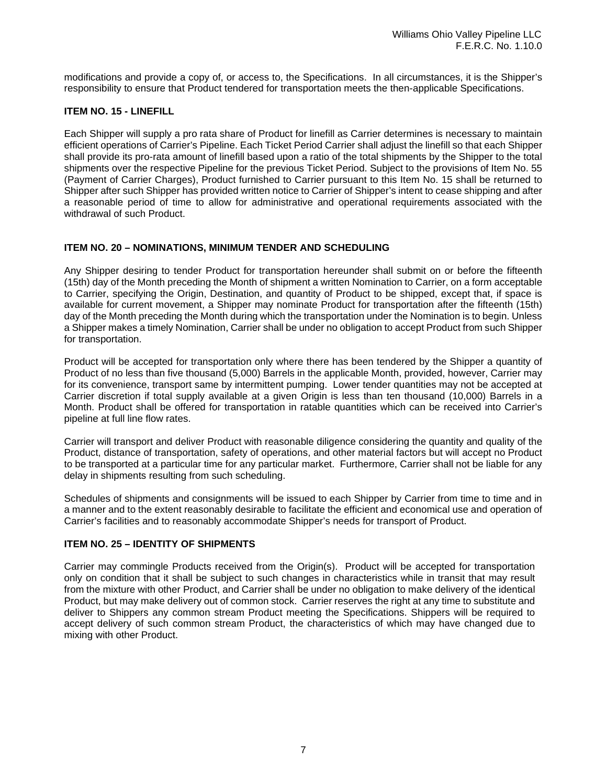modifications and provide a copy of, or access to, the Specifications. In all circumstances, it is the Shipper's responsibility to ensure that Product tendered for transportation meets the then-applicable Specifications.

# **ITEM NO. 15 - LINEFILL**

Each Shipper will supply a pro rata share of Product for linefill as Carrier determines is necessary to maintain efficient operations of Carrier's Pipeline. Each Ticket Period Carrier shall adjust the linefill so that each Shipper shall provide its pro-rata amount of linefill based upon a ratio of the total shipments by the Shipper to the total shipments over the respective Pipeline for the previous Ticket Period. Subject to the provisions of Item No. 55 (Payment of Carrier Charges), Product furnished to Carrier pursuant to this Item No. 15 shall be returned to Shipper after such Shipper has provided written notice to Carrier of Shipper's intent to cease shipping and after a reasonable period of time to allow for administrative and operational requirements associated with the withdrawal of such Product.

### **ITEM NO. 20 – NOMINATIONS, MINIMUM TENDER AND SCHEDULING**

Any Shipper desiring to tender Product for transportation hereunder shall submit on or before the fifteenth (15th) day of the Month preceding the Month of shipment a written Nomination to Carrier, on a form acceptable to Carrier, specifying the Origin, Destination, and quantity of Product to be shipped, except that, if space is available for current movement, a Shipper may nominate Product for transportation after the fifteenth (15th) day of the Month preceding the Month during which the transportation under the Nomination is to begin. Unless a Shipper makes a timely Nomination, Carrier shall be under no obligation to accept Product from such Shipper for transportation.

Product will be accepted for transportation only where there has been tendered by the Shipper a quantity of Product of no less than five thousand (5,000) Barrels in the applicable Month, provided, however, Carrier may for its convenience, transport same by intermittent pumping. Lower tender quantities may not be accepted at Carrier discretion if total supply available at a given Origin is less than ten thousand (10,000) Barrels in a Month. Product shall be offered for transportation in ratable quantities which can be received into Carrier's pipeline at full line flow rates.

Carrier will transport and deliver Product with reasonable diligence considering the quantity and quality of the Product, distance of transportation, safety of operations, and other material factors but will accept no Product to be transported at a particular time for any particular market. Furthermore, Carrier shall not be liable for any delay in shipments resulting from such scheduling.

Schedules of shipments and consignments will be issued to each Shipper by Carrier from time to time and in a manner and to the extent reasonably desirable to facilitate the efficient and economical use and operation of Carrier's facilities and to reasonably accommodate Shipper's needs for transport of Product.

#### **ITEM NO. 25 – IDENTITY OF SHIPMENTS**

Carrier may commingle Products received from the Origin(s). Product will be accepted for transportation only on condition that it shall be subject to such changes in characteristics while in transit that may result from the mixture with other Product, and Carrier shall be under no obligation to make delivery of the identical Product, but may make delivery out of common stock. Carrier reserves the right at any time to substitute and deliver to Shippers any common stream Product meeting the Specifications. Shippers will be required to accept delivery of such common stream Product, the characteristics of which may have changed due to mixing with other Product.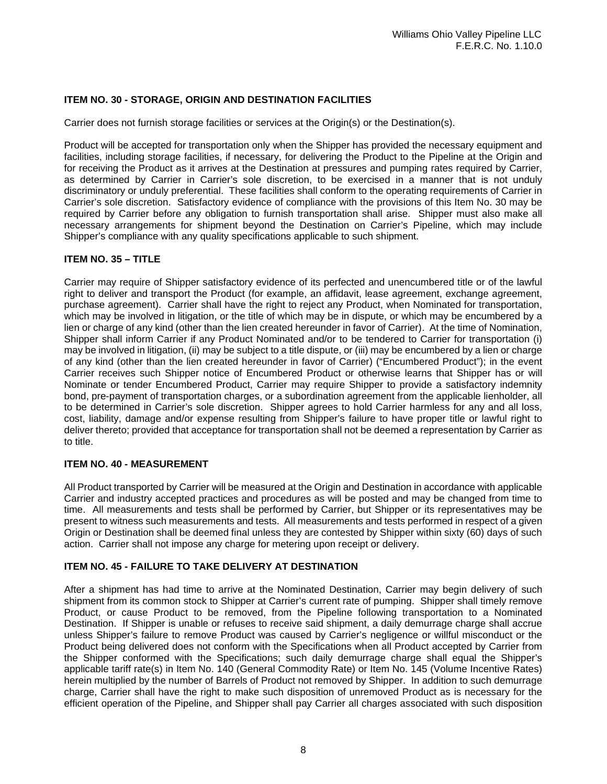# **ITEM NO. 30 - STORAGE, ORIGIN AND DESTINATION FACILITIES**

Carrier does not furnish storage facilities or services at the Origin(s) or the Destination(s).

Product will be accepted for transportation only when the Shipper has provided the necessary equipment and facilities, including storage facilities, if necessary, for delivering the Product to the Pipeline at the Origin and for receiving the Product as it arrives at the Destination at pressures and pumping rates required by Carrier, as determined by Carrier in Carrier's sole discretion, to be exercised in a manner that is not unduly discriminatory or unduly preferential. These facilities shall conform to the operating requirements of Carrier in Carrier's sole discretion. Satisfactory evidence of compliance with the provisions of this Item No. 30 may be required by Carrier before any obligation to furnish transportation shall arise. Shipper must also make all necessary arrangements for shipment beyond the Destination on Carrier's Pipeline, which may include Shipper's compliance with any quality specifications applicable to such shipment.

### **ITEM NO. 35 – TITLE**

Carrier may require of Shipper satisfactory evidence of its perfected and unencumbered title or of the lawful right to deliver and transport the Product (for example, an affidavit, lease agreement, exchange agreement, purchase agreement). Carrier shall have the right to reject any Product, when Nominated for transportation, which may be involved in litigation, or the title of which may be in dispute, or which may be encumbered by a lien or charge of any kind (other than the lien created hereunder in favor of Carrier). At the time of Nomination, Shipper shall inform Carrier if any Product Nominated and/or to be tendered to Carrier for transportation (i) may be involved in litigation, (ii) may be subject to a title dispute, or (iii) may be encumbered by a lien or charge of any kind (other than the lien created hereunder in favor of Carrier) ("Encumbered Product"); in the event Carrier receives such Shipper notice of Encumbered Product or otherwise learns that Shipper has or will Nominate or tender Encumbered Product, Carrier may require Shipper to provide a satisfactory indemnity bond, pre-payment of transportation charges, or a subordination agreement from the applicable lienholder, all to be determined in Carrier's sole discretion. Shipper agrees to hold Carrier harmless for any and all loss, cost, liability, damage and/or expense resulting from Shipper's failure to have proper title or lawful right to deliver thereto; provided that acceptance for transportation shall not be deemed a representation by Carrier as to title.

#### **ITEM NO. 40 - MEASUREMENT**

All Product transported by Carrier will be measured at the Origin and Destination in accordance with applicable Carrier and industry accepted practices and procedures as will be posted and may be changed from time to time. All measurements and tests shall be performed by Carrier, but Shipper or its representatives may be present to witness such measurements and tests. All measurements and tests performed in respect of a given Origin or Destination shall be deemed final unless they are contested by Shipper within sixty (60) days of such action. Carrier shall not impose any charge for metering upon receipt or delivery.

# **ITEM NO. 45 - FAILURE TO TAKE DELIVERY AT DESTINATION**

After a shipment has had time to arrive at the Nominated Destination, Carrier may begin delivery of such shipment from its common stock to Shipper at Carrier's current rate of pumping. Shipper shall timely remove Product, or cause Product to be removed, from the Pipeline following transportation to a Nominated Destination. If Shipper is unable or refuses to receive said shipment, a daily demurrage charge shall accrue unless Shipper's failure to remove Product was caused by Carrier's negligence or willful misconduct or the Product being delivered does not conform with the Specifications when all Product accepted by Carrier from the Shipper conformed with the Specifications; such daily demurrage charge shall equal the Shipper's applicable tariff rate(s) in Item No. 140 (General Commodity Rate) or Item No. 145 (Volume Incentive Rates) herein multiplied by the number of Barrels of Product not removed by Shipper. In addition to such demurrage charge, Carrier shall have the right to make such disposition of unremoved Product as is necessary for the efficient operation of the Pipeline, and Shipper shall pay Carrier all charges associated with such disposition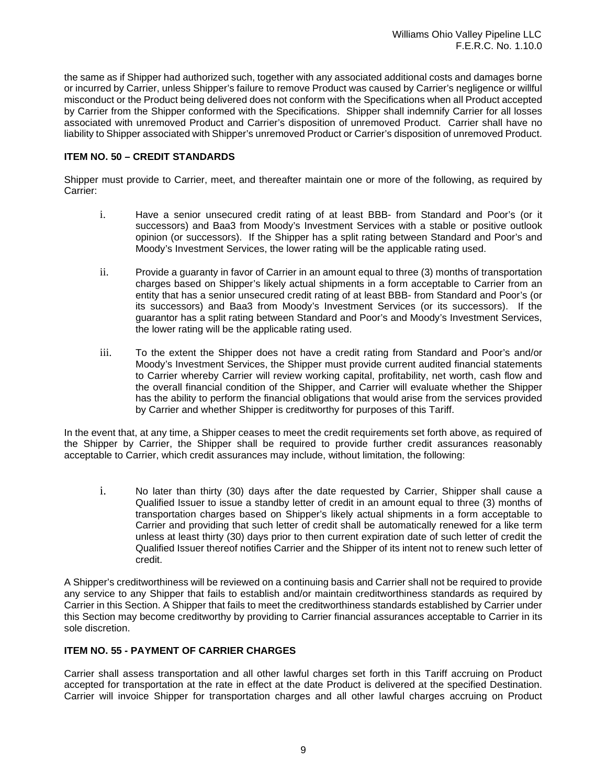the same as if Shipper had authorized such, together with any associated additional costs and damages borne or incurred by Carrier, unless Shipper's failure to remove Product was caused by Carrier's negligence or willful misconduct or the Product being delivered does not conform with the Specifications when all Product accepted by Carrier from the Shipper conformed with the Specifications. Shipper shall indemnify Carrier for all losses associated with unremoved Product and Carrier's disposition of unremoved Product. Carrier shall have no liability to Shipper associated with Shipper's unremoved Product or Carrier's disposition of unremoved Product.

# **ITEM NO. 50 – CREDIT STANDARDS**

Shipper must provide to Carrier, meet, and thereafter maintain one or more of the following, as required by Carrier:

- i. Have a senior unsecured credit rating of at least BBB- from Standard and Poor's (or it successors) and Baa3 from Moody's Investment Services with a stable or positive outlook opinion (or successors). If the Shipper has a split rating between Standard and Poor's and Moody's Investment Services, the lower rating will be the applicable rating used.
- ii. Provide a guaranty in favor of Carrier in an amount equal to three (3) months of transportation charges based on Shipper's likely actual shipments in a form acceptable to Carrier from an entity that has a senior unsecured credit rating of at least BBB- from Standard and Poor's (or its successors) and Baa3 from Moody's Investment Services (or its successors). If the guarantor has a split rating between Standard and Poor's and Moody's Investment Services, the lower rating will be the applicable rating used.
- iii. To the extent the Shipper does not have a credit rating from Standard and Poor's and/or Moody's Investment Services, the Shipper must provide current audited financial statements to Carrier whereby Carrier will review working capital, profitability, net worth, cash flow and the overall financial condition of the Shipper, and Carrier will evaluate whether the Shipper has the ability to perform the financial obligations that would arise from the services provided by Carrier and whether Shipper is creditworthy for purposes of this Tariff.

In the event that, at any time, a Shipper ceases to meet the credit requirements set forth above, as required of the Shipper by Carrier, the Shipper shall be required to provide further credit assurances reasonably acceptable to Carrier, which credit assurances may include, without limitation, the following:

i. No later than thirty (30) days after the date requested by Carrier, Shipper shall cause a Qualified Issuer to issue a standby letter of credit in an amount equal to three (3) months of transportation charges based on Shipper's likely actual shipments in a form acceptable to Carrier and providing that such letter of credit shall be automatically renewed for a like term unless at least thirty (30) days prior to then current expiration date of such letter of credit the Qualified Issuer thereof notifies Carrier and the Shipper of its intent not to renew such letter of credit.

A Shipper's creditworthiness will be reviewed on a continuing basis and Carrier shall not be required to provide any service to any Shipper that fails to establish and/or maintain creditworthiness standards as required by Carrier in this Section. A Shipper that fails to meet the creditworthiness standards established by Carrier under this Section may become creditworthy by providing to Carrier financial assurances acceptable to Carrier in its sole discretion.

# **ITEM NO. 55 - PAYMENT OF CARRIER CHARGES**

Carrier shall assess transportation and all other lawful charges set forth in this Tariff accruing on Product accepted for transportation at the rate in effect at the date Product is delivered at the specified Destination. Carrier will invoice Shipper for transportation charges and all other lawful charges accruing on Product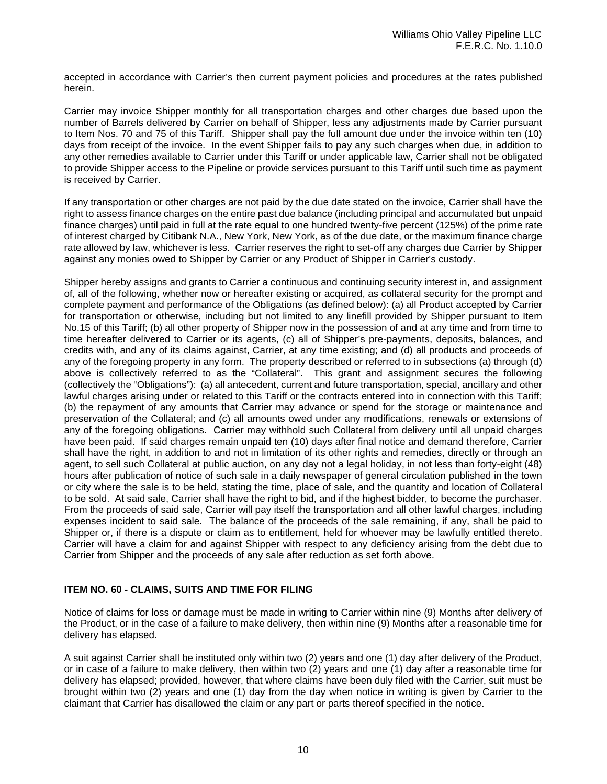accepted in accordance with Carrier's then current payment policies and procedures at the rates published herein.

Carrier may invoice Shipper monthly for all transportation charges and other charges due based upon the number of Barrels delivered by Carrier on behalf of Shipper, less any adjustments made by Carrier pursuant to Item Nos. 70 and 75 of this Tariff. Shipper shall pay the full amount due under the invoice within ten (10) days from receipt of the invoice. In the event Shipper fails to pay any such charges when due, in addition to any other remedies available to Carrier under this Tariff or under applicable law, Carrier shall not be obligated to provide Shipper access to the Pipeline or provide services pursuant to this Tariff until such time as payment is received by Carrier.

If any transportation or other charges are not paid by the due date stated on the invoice, Carrier shall have the right to assess finance charges on the entire past due balance (including principal and accumulated but unpaid finance charges) until paid in full at the rate equal to one hundred twenty-five percent (125%) of the prime rate of interest charged by Citibank N.A., New York, New York, as of the due date, or the maximum finance charge rate allowed by law, whichever is less. Carrier reserves the right to set-off any charges due Carrier by Shipper against any monies owed to Shipper by Carrier or any Product of Shipper in Carrier's custody.

Shipper hereby assigns and grants to Carrier a continuous and continuing security interest in, and assignment of, all of the following, whether now or hereafter existing or acquired, as collateral security for the prompt and complete payment and performance of the Obligations (as defined below): (a) all Product accepted by Carrier for transportation or otherwise, including but not limited to any linefill provided by Shipper pursuant to Item No.15 of this Tariff; (b) all other property of Shipper now in the possession of and at any time and from time to time hereafter delivered to Carrier or its agents, (c) all of Shipper's pre-payments, deposits, balances, and credits with, and any of its claims against, Carrier, at any time existing; and (d) all products and proceeds of any of the foregoing property in any form. The property described or referred to in subsections (a) through (d) above is collectively referred to as the "Collateral". This grant and assignment secures the following (collectively the "Obligations"): (a) all antecedent, current and future transportation, special, ancillary and other lawful charges arising under or related to this Tariff or the contracts entered into in connection with this Tariff; (b) the repayment of any amounts that Carrier may advance or spend for the storage or maintenance and preservation of the Collateral; and (c) all amounts owed under any modifications, renewals or extensions of any of the foregoing obligations. Carrier may withhold such Collateral from delivery until all unpaid charges have been paid. If said charges remain unpaid ten (10) days after final notice and demand therefore, Carrier shall have the right, in addition to and not in limitation of its other rights and remedies, directly or through an agent, to sell such Collateral at public auction, on any day not a legal holiday, in not less than forty-eight (48) hours after publication of notice of such sale in a daily newspaper of general circulation published in the town or city where the sale is to be held, stating the time, place of sale, and the quantity and location of Collateral to be sold. At said sale, Carrier shall have the right to bid, and if the highest bidder, to become the purchaser. From the proceeds of said sale, Carrier will pay itself the transportation and all other lawful charges, including expenses incident to said sale. The balance of the proceeds of the sale remaining, if any, shall be paid to Shipper or, if there is a dispute or claim as to entitlement, held for whoever may be lawfully entitled thereto. Carrier will have a claim for and against Shipper with respect to any deficiency arising from the debt due to Carrier from Shipper and the proceeds of any sale after reduction as set forth above.

#### **ITEM NO. 60 - CLAIMS, SUITS AND TIME FOR FILING**

Notice of claims for loss or damage must be made in writing to Carrier within nine (9) Months after delivery of the Product, or in the case of a failure to make delivery, then within nine (9) Months after a reasonable time for delivery has elapsed.

A suit against Carrier shall be instituted only within two (2) years and one (1) day after delivery of the Product, or in case of a failure to make delivery, then within two (2) years and one (1) day after a reasonable time for delivery has elapsed; provided, however, that where claims have been duly filed with the Carrier, suit must be brought within two (2) years and one (1) day from the day when notice in writing is given by Carrier to the claimant that Carrier has disallowed the claim or any part or parts thereof specified in the notice.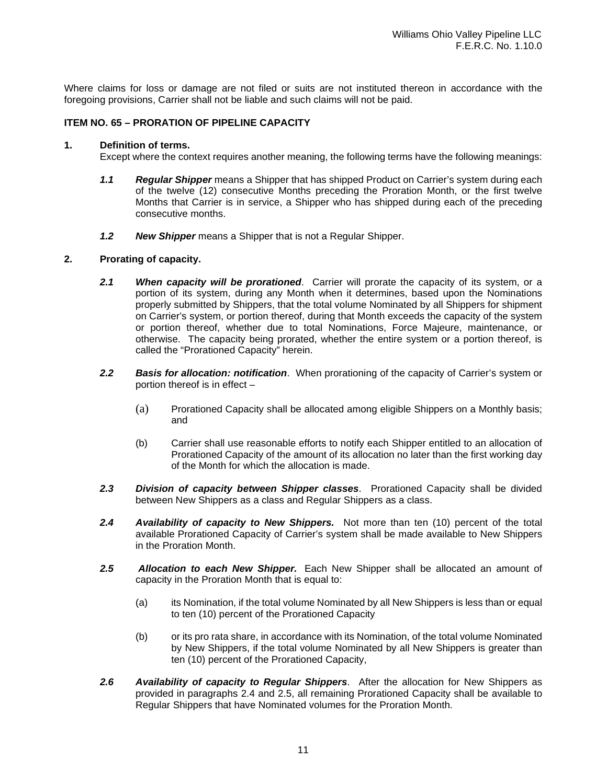Where claims for loss or damage are not filed or suits are not instituted thereon in accordance with the foregoing provisions, Carrier shall not be liable and such claims will not be paid.

### **ITEM NO. 65 – PRORATION OF PIPELINE CAPACITY**

#### **1. Definition of terms.**

Except where the context requires another meaning, the following terms have the following meanings:

- *1.1 Regular Shipper* means a Shipper that has shipped Product on Carrier's system during each of the twelve (12) consecutive Months preceding the Proration Month, or the first twelve Months that Carrier is in service, a Shipper who has shipped during each of the preceding consecutive months.
- *1.2 New Shipper* means a Shipper that is not a Regular Shipper.

# **2. Prorating of capacity.**

- *2.1 When capacity will be prorationed*. Carrier will prorate the capacity of its system, or a portion of its system, during any Month when it determines, based upon the Nominations properly submitted by Shippers, that the total volume Nominated by all Shippers for shipment on Carrier's system, or portion thereof, during that Month exceeds the capacity of the system or portion thereof, whether due to total Nominations, Force Majeure, maintenance, or otherwise. The capacity being prorated, whether the entire system or a portion thereof, is called the "Prorationed Capacity" herein.
- *2.2 Basis for allocation: notification*. When prorationing of the capacity of Carrier's system or portion thereof is in effect –
	- (a) Prorationed Capacity shall be allocated among eligible Shippers on a Monthly basis; and
	- (b) Carrier shall use reasonable efforts to notify each Shipper entitled to an allocation of Prorationed Capacity of the amount of its allocation no later than the first working day of the Month for which the allocation is made.
- *2.3 Division of capacity between Shipper classes*. Prorationed Capacity shall be divided between New Shippers as a class and Regular Shippers as a class.
- *2.4 Availability of capacity to New Shippers.* Not more than ten (10) percent of the total available Prorationed Capacity of Carrier's system shall be made available to New Shippers in the Proration Month.
- *2.5 Allocation to each New Shipper.* Each New Shipper shall be allocated an amount of capacity in the Proration Month that is equal to:
	- (a) its Nomination, if the total volume Nominated by all New Shippers is less than or equal to ten (10) percent of the Prorationed Capacity
	- (b) or its pro rata share, in accordance with its Nomination, of the total volume Nominated by New Shippers, if the total volume Nominated by all New Shippers is greater than ten (10) percent of the Prorationed Capacity,
- *2.6 Availability of capacity to Regular Shippers*. After the allocation for New Shippers as provided in paragraphs 2.4 and 2.5, all remaining Prorationed Capacity shall be available to Regular Shippers that have Nominated volumes for the Proration Month.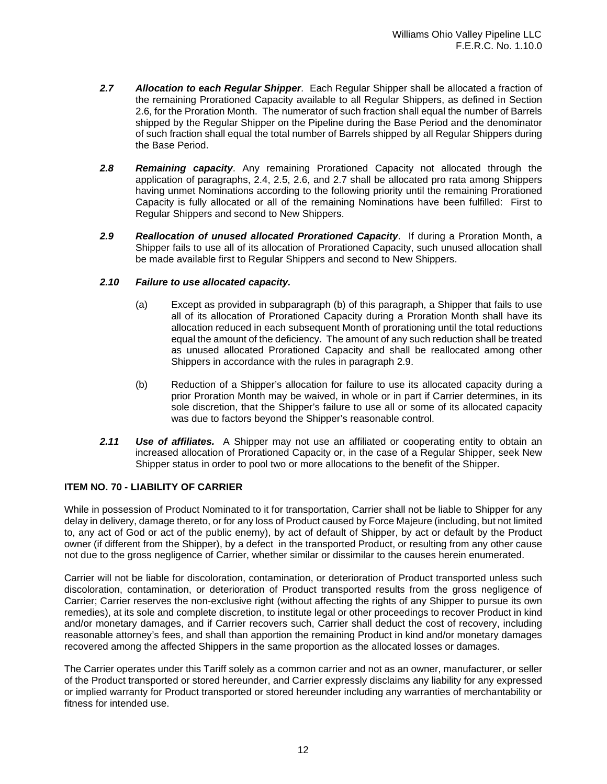- *2.7 Allocation to each Regular Shipper*. Each Regular Shipper shall be allocated a fraction of the remaining Prorationed Capacity available to all Regular Shippers, as defined in Section 2.6, for the Proration Month. The numerator of such fraction shall equal the number of Barrels shipped by the Regular Shipper on the Pipeline during the Base Period and the denominator of such fraction shall equal the total number of Barrels shipped by all Regular Shippers during the Base Period.
- *2.8 Remaining capacity*. Any remaining Prorationed Capacity not allocated through the application of paragraphs, 2.4, 2.5, 2.6, and 2.7 shall be allocated pro rata among Shippers having unmet Nominations according to the following priority until the remaining Prorationed Capacity is fully allocated or all of the remaining Nominations have been fulfilled: First to Regular Shippers and second to New Shippers.
- *2.9 Reallocation of unused allocated Prorationed Capacity*. If during a Proration Month, a Shipper fails to use all of its allocation of Prorationed Capacity, such unused allocation shall be made available first to Regular Shippers and second to New Shippers.

### *2.10 Failure to use allocated capacity.*

- (a) Except as provided in subparagraph (b) of this paragraph, a Shipper that fails to use all of its allocation of Prorationed Capacity during a Proration Month shall have its allocation reduced in each subsequent Month of prorationing until the total reductions equal the amount of the deficiency. The amount of any such reduction shall be treated as unused allocated Prorationed Capacity and shall be reallocated among other Shippers in accordance with the rules in paragraph 2.9.
- (b) Reduction of a Shipper's allocation for failure to use its allocated capacity during a prior Proration Month may be waived, in whole or in part if Carrier determines, in its sole discretion, that the Shipper's failure to use all or some of its allocated capacity was due to factors beyond the Shipper's reasonable control.
- *2.11 Use of affiliates.* A Shipper may not use an affiliated or cooperating entity to obtain an increased allocation of Prorationed Capacity or, in the case of a Regular Shipper, seek New Shipper status in order to pool two or more allocations to the benefit of the Shipper.

# **ITEM NO. 70 - LIABILITY OF CARRIER**

While in possession of Product Nominated to it for transportation, Carrier shall not be liable to Shipper for any delay in delivery, damage thereto, or for any loss of Product caused by Force Majeure (including, but not limited to, any act of God or act of the public enemy), by act of default of Shipper, by act or default by the Product owner (if different from the Shipper), by a defect in the transported Product, or resulting from any other cause not due to the gross negligence of Carrier, whether similar or dissimilar to the causes herein enumerated.

Carrier will not be liable for discoloration, contamination, or deterioration of Product transported unless such discoloration, contamination, or deterioration of Product transported results from the gross negligence of Carrier; Carrier reserves the non-exclusive right (without affecting the rights of any Shipper to pursue its own remedies), at its sole and complete discretion, to institute legal or other proceedings to recover Product in kind and/or monetary damages, and if Carrier recovers such, Carrier shall deduct the cost of recovery, including reasonable attorney's fees, and shall than apportion the remaining Product in kind and/or monetary damages recovered among the affected Shippers in the same proportion as the allocated losses or damages.

The Carrier operates under this Tariff solely as a common carrier and not as an owner, manufacturer, or seller of the Product transported or stored hereunder, and Carrier expressly disclaims any liability for any expressed or implied warranty for Product transported or stored hereunder including any warranties of merchantability or fitness for intended use.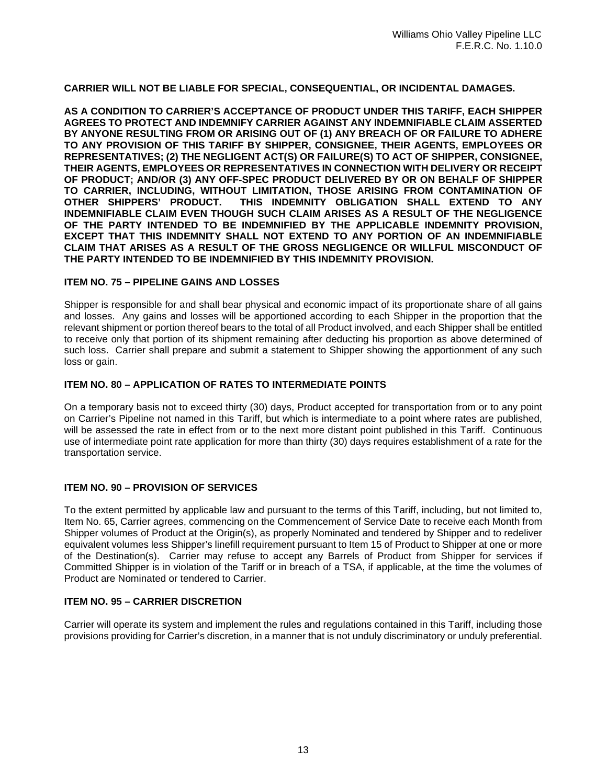# **CARRIER WILL NOT BE LIABLE FOR SPECIAL, CONSEQUENTIAL, OR INCIDENTAL DAMAGES.**

**AS A CONDITION TO CARRIER'S ACCEPTANCE OF PRODUCT UNDER THIS TARIFF, EACH SHIPPER AGREES TO PROTECT AND INDEMNIFY CARRIER AGAINST ANY INDEMNIFIABLE CLAIM ASSERTED BY ANYONE RESULTING FROM OR ARISING OUT OF (1) ANY BREACH OF OR FAILURE TO ADHERE TO ANY PROVISION OF THIS TARIFF BY SHIPPER, CONSIGNEE, THEIR AGENTS, EMPLOYEES OR REPRESENTATIVES; (2) THE NEGLIGENT ACT(S) OR FAILURE(S) TO ACT OF SHIPPER, CONSIGNEE, THEIR AGENTS, EMPLOYEES OR REPRESENTATIVES IN CONNECTION WITH DELIVERY OR RECEIPT OF PRODUCT; AND/OR (3) ANY OFF-SPEC PRODUCT DELIVERED BY OR ON BEHALF OF SHIPPER TO CARRIER, INCLUDING, WITHOUT LIMITATION, THOSE ARISING FROM CONTAMINATION OF**  THIS INDEMNITY OBLIGATION SHALL EXTEND TO ANY **INDEMNIFIABLE CLAIM EVEN THOUGH SUCH CLAIM ARISES AS A RESULT OF THE NEGLIGENCE OF THE PARTY INTENDED TO BE INDEMNIFIED BY THE APPLICABLE INDEMNITY PROVISION, EXCEPT THAT THIS INDEMNITY SHALL NOT EXTEND TO ANY PORTION OF AN INDEMNIFIABLE CLAIM THAT ARISES AS A RESULT OF THE GROSS NEGLIGENCE OR WILLFUL MISCONDUCT OF THE PARTY INTENDED TO BE INDEMNIFIED BY THIS INDEMNITY PROVISION.**

#### **ITEM NO. 75 – PIPELINE GAINS AND LOSSES**

Shipper is responsible for and shall bear physical and economic impact of its proportionate share of all gains and losses. Any gains and losses will be apportioned according to each Shipper in the proportion that the relevant shipment or portion thereof bears to the total of all Product involved, and each Shipper shall be entitled to receive only that portion of its shipment remaining after deducting his proportion as above determined of such loss. Carrier shall prepare and submit a statement to Shipper showing the apportionment of any such loss or gain.

### **ITEM NO. 80 – APPLICATION OF RATES TO INTERMEDIATE POINTS**

On a temporary basis not to exceed thirty (30) days, Product accepted for transportation from or to any point on Carrier's Pipeline not named in this Tariff, but which is intermediate to a point where rates are published, will be assessed the rate in effect from or to the next more distant point published in this Tariff. Continuous use of intermediate point rate application for more than thirty (30) days requires establishment of a rate for the transportation service.

# **ITEM NO. 90 – PROVISION OF SERVICES**

To the extent permitted by applicable law and pursuant to the terms of this Tariff, including, but not limited to, Item No. 65, Carrier agrees, commencing on the Commencement of Service Date to receive each Month from Shipper volumes of Product at the Origin(s), as properly Nominated and tendered by Shipper and to redeliver equivalent volumes less Shipper's linefill requirement pursuant to Item 15 of Product to Shipper at one or more of the Destination(s). Carrier may refuse to accept any Barrels of Product from Shipper for services if Committed Shipper is in violation of the Tariff or in breach of a TSA, if applicable, at the time the volumes of Product are Nominated or tendered to Carrier.

# **ITEM NO. 95 – CARRIER DISCRETION**

Carrier will operate its system and implement the rules and regulations contained in this Tariff, including those provisions providing for Carrier's discretion, in a manner that is not unduly discriminatory or unduly preferential.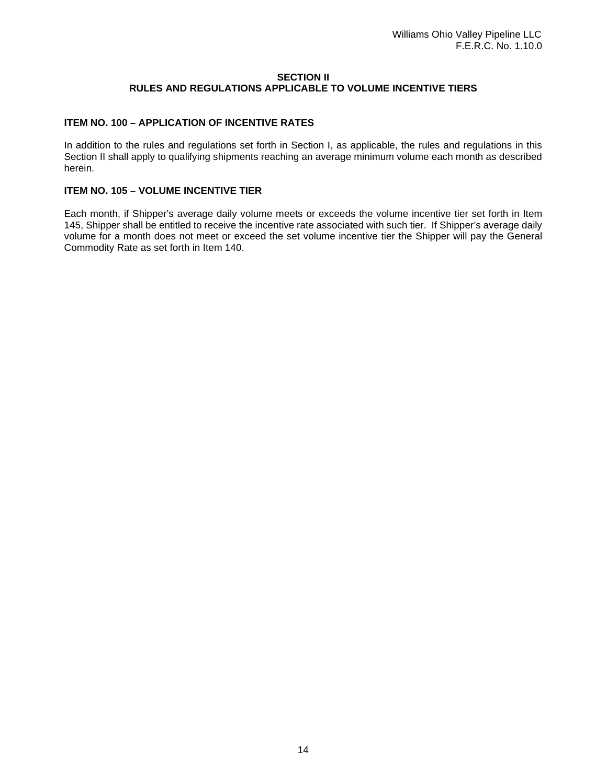#### **SECTION II RULES AND REGULATIONS APPLICABLE TO VOLUME INCENTIVE TIERS**

# **ITEM NO. 100 – APPLICATION OF INCENTIVE RATES**

In addition to the rules and regulations set forth in Section I, as applicable, the rules and regulations in this Section II shall apply to qualifying shipments reaching an average minimum volume each month as described herein.

#### **ITEM NO. 105 – VOLUME INCENTIVE TIER**

Each month, if Shipper's average daily volume meets or exceeds the volume incentive tier set forth in Item 145, Shipper shall be entitled to receive the incentive rate associated with such tier. If Shipper's average daily volume for a month does not meet or exceed the set volume incentive tier the Shipper will pay the General Commodity Rate as set forth in Item 140.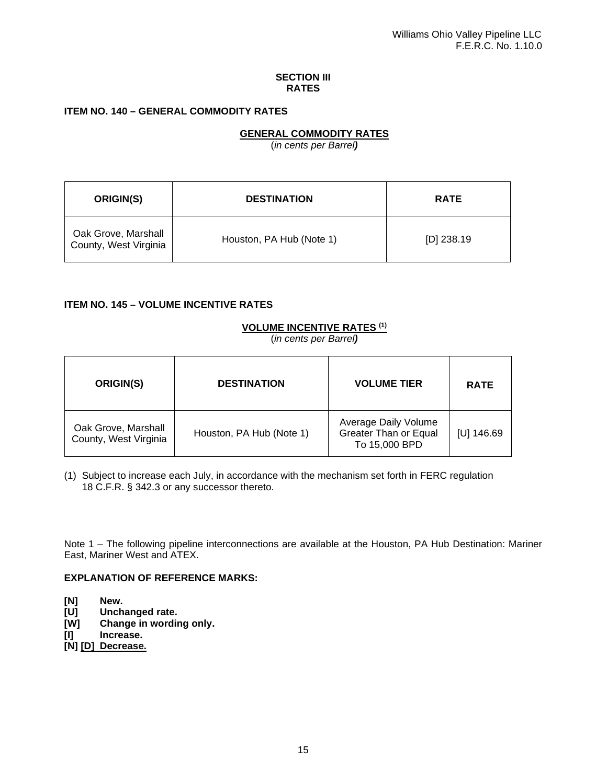#### **SECTION III RATES**

# **ITEM NO. 140 – GENERAL COMMODITY RATES**

# **GENERAL COMMODITY RATES**

(*in cents per Barrel)*

| ORIGIN(S)                                    | <b>DESTINATION</b>       | <b>RATE</b>  |
|----------------------------------------------|--------------------------|--------------|
| Oak Grove, Marshall<br>County, West Virginia | Houston, PA Hub (Note 1) | $[D]$ 238.19 |

### **ITEM NO. 145 – VOLUME INCENTIVE RATES**

### **VOLUME INCENTIVE RATES (1)**

(*in cents per Barrel)*

| ORIGIN(S)                                    | <b>DESTINATION</b>       | <b>VOLUME TIER</b>                                                    | <b>RATE</b>  |
|----------------------------------------------|--------------------------|-----------------------------------------------------------------------|--------------|
| Oak Grove, Marshall<br>County, West Virginia | Houston, PA Hub (Note 1) | Average Daily Volume<br><b>Greater Than or Equal</b><br>To 15,000 BPD | $[U]$ 146.69 |

(1) Subject to increase each July, in accordance with the mechanism set forth in FERC regulation 18 C.F.R. § 342.3 or any successor thereto.

Note 1 – The following pipeline interconnections are available at the Houston, PA Hub Destination: Mariner East, Mariner West and ATEX.

#### **EXPLANATION OF REFERENCE MARKS:**

- **[N] New.**
- **[U] Unchanged rate.**
- **Change in wording only.**
- **[I] Increase.**
- **[N] [D] Decrease.**